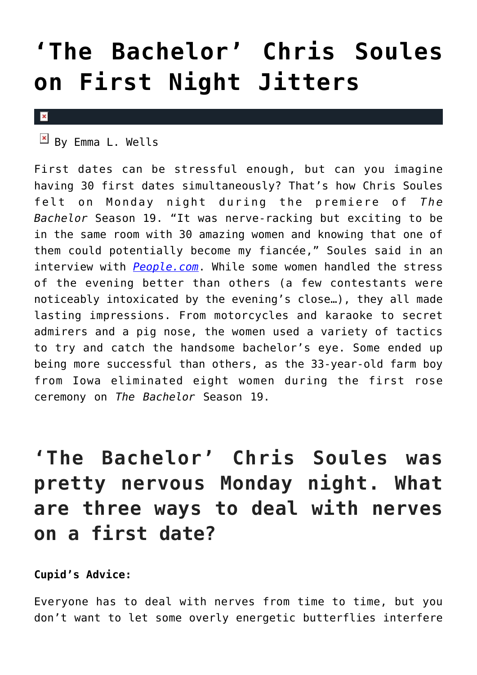## **['The Bachelor' Chris Soules](https://cupidspulse.com/84647/the-bachelor-chris-soules-first-night-jitters/) [on First Night Jitters](https://cupidspulse.com/84647/the-bachelor-chris-soules-first-night-jitters/)**

 $\mathbf{x}$ 

 $\overline{B}$  By Emma L. Wells

First dates can be stressful enough, but can you imagine having 30 first dates simultaneously? That's how Chris Soules felt on Monday night during the premiere of *The Bachelor* Season 19. "It was nerve-racking but exciting to be in the same room with 30 amazing women and knowing that one of them could potentially become my fiancée," Soules said in an interview with *[People.com](http://www.people.com/article/bachelor-chris-soules-premiere-video)*. While some women handled the stress of the evening better than others (a few contestants were noticeably intoxicated by the evening's close…), they all made lasting impressions. From motorcycles and karaoke to secret admirers and a pig nose, the women used a variety of tactics to try and catch the handsome bachelor's eye. Some ended up being more successful than others, as the 33-year-old farm boy from Iowa eliminated eight women during the first rose ceremony on *The Bachelor* Season 19.

**'The Bachelor' Chris Soules was pretty nervous Monday night. What are three ways to deal with nerves on a first date?**

**Cupid's Advice:**

Everyone has to deal with nerves from time to time, but you don't want to let some overly energetic butterflies interfere